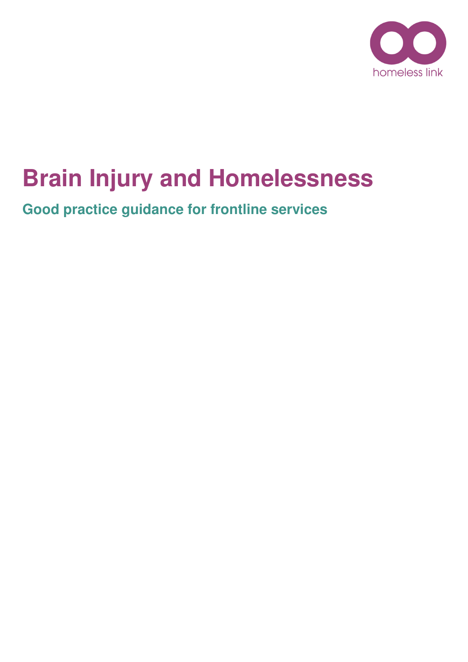

# **Brain Injury and Homelessness**

**Good practice guidance for frontline services**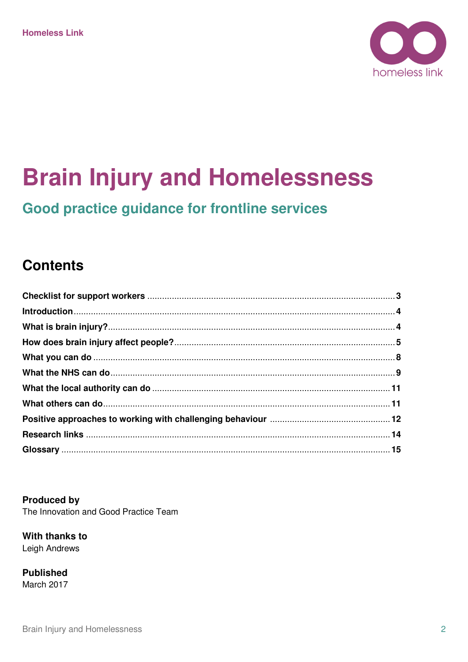

# **Brain Injury and Homelessness**

# Good practice guidance for frontline services

### **Contents**

**Produced by** The Innovation and Good Practice Team

With thanks to **Leigh Andrews** 

**Published** March 2017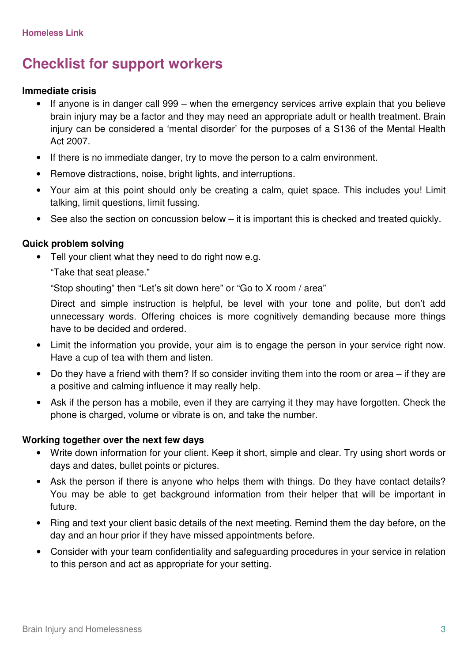# **Checklist for support workers**

### **Immediate crisis**

- If anyone is in danger call 999 when the emergency services arrive explain that you believe brain injury may be a factor and they may need an appropriate adult or health treatment. Brain injury can be considered a 'mental disorder' for the purposes of a S136 of the Mental Health Act 2007.
- If there is no immediate danger, try to move the person to a calm environment.
- Remove distractions, noise, bright lights, and interruptions.
- Your aim at this point should only be creating a calm, quiet space. This includes you! Limit talking, limit questions, limit fussing.
- See also the section on concussion below it is important this is checked and treated quickly.

### **Quick problem solving**

• Tell your client what they need to do right now e.g.

"Take that seat please."

"Stop shouting" then "Let's sit down here" or "Go to X room / area"

Direct and simple instruction is helpful, be level with your tone and polite, but don't add unnecessary words. Offering choices is more cognitively demanding because more things have to be decided and ordered.

- Limit the information you provide, your aim is to engage the person in your service right now. Have a cup of tea with them and listen.
- Do they have a friend with them? If so consider inviting them into the room or area if they are a positive and calming influence it may really help.
- Ask if the person has a mobile, even if they are carrying it they may have forgotten. Check the phone is charged, volume or vibrate is on, and take the number.

### **Working together over the next few days**

- Write down information for your client. Keep it short, simple and clear. Try using short words or days and dates, bullet points or pictures.
- Ask the person if there is anyone who helps them with things. Do they have contact details? You may be able to get background information from their helper that will be important in future.
- Ring and text your client basic details of the next meeting. Remind them the day before, on the day and an hour prior if they have missed appointments before.
- Consider with your team confidentiality and safeguarding procedures in your service in relation to this person and act as appropriate for your setting.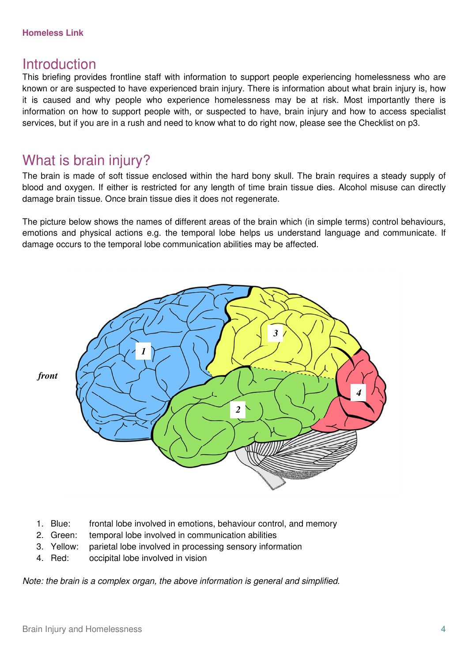### **Homeless Link**

### **Introduction**

This briefing provides frontline staff with information to support people experiencing homelessness who are known or are suspected to have experienced brain injury. There is information about what brain injury is, how it is caused and why people who experience homelessness may be at risk. Most importantly there is information on how to support people with, or suspected to have, brain injury and how to access specialist services, but if you are in a rush and need to know what to do right now, please see the Checklist on p3.

### What is brain injury?

The brain is made of soft tissue enclosed within the hard bony skull. The brain requires a steady supply of blood and oxygen. If either is restricted for any length of time brain tissue dies. Alcohol misuse can directly damage brain tissue. Once brain tissue dies it does not regenerate.

The picture below shows the names of different areas of the brain which (in simple terms) control behaviours, emotions and physical actions e.g. the temporal lobe helps us understand language and communicate. If damage occurs to the temporal lobe communication abilities may be affected.



- 1. Blue: frontal lobe involved in emotions, behaviour control, and memory
- 2. Green: temporal lobe involved in communication abilities
- 3. Yellow: parietal lobe involved in processing sensory information
- 4. Red: occipital lobe involved in vision

Note: the brain is a complex organ, the above information is general and simplified.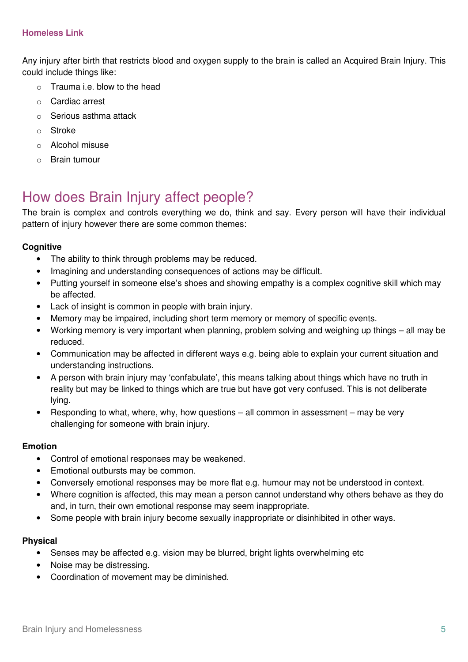Any injury after birth that restricts blood and oxygen supply to the brain is called an Acquired Brain Injury. This could include things like:

- $\circ$  Trauma i.e. blow to the head
- o Cardiac arrest
- o Serious asthma attack
- o Stroke
- o Alcohol misuse
- o Brain tumour

# How does Brain Injury affect people?

The brain is complex and controls everything we do, think and say. Every person will have their individual pattern of injury however there are some common themes:

### **Cognitive**

- The ability to think through problems may be reduced.
- Imagining and understanding consequences of actions may be difficult.
- Putting yourself in someone else's shoes and showing empathy is a complex cognitive skill which may be affected.
- Lack of insight is common in people with brain injury.
- Memory may be impaired, including short term memory or memory of specific events.
- Working memory is very important when planning, problem solving and weighing up things all may be reduced.
- Communication may be affected in different ways e.g. being able to explain your current situation and understanding instructions.
- A person with brain injury may 'confabulate', this means talking about things which have no truth in reality but may be linked to things which are true but have got very confused. This is not deliberate lying.
- Responding to what, where, why, how questions  $-$  all common in assessment  $-$  may be very challenging for someone with brain injury.

### **Emotion**

- Control of emotional responses may be weakened.
- Emotional outbursts may be common.
- Conversely emotional responses may be more flat e.g. humour may not be understood in context.
- Where cognition is affected, this may mean a person cannot understand why others behave as they do and, in turn, their own emotional response may seem inappropriate.
- Some people with brain injury become sexually inappropriate or disinhibited in other ways.

### **Physical**

- Senses may be affected e.g. vision may be blurred, bright lights overwhelming etc
- Noise may be distressing.
- Coordination of movement may be diminished.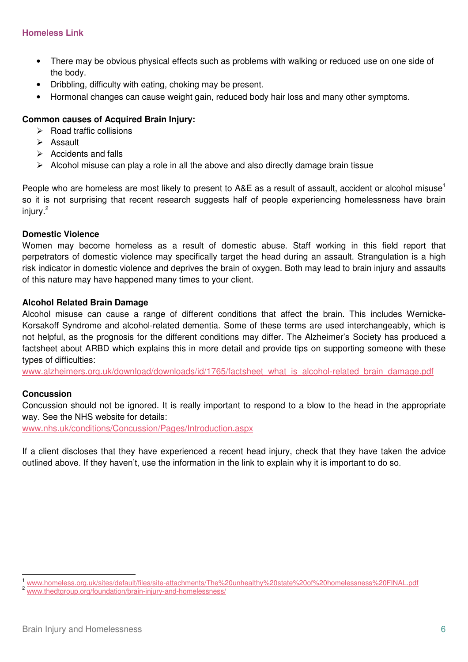- There may be obvious physical effects such as problems with walking or reduced use on one side of the body.
- Dribbling, difficulty with eating, choking may be present.
- Hormonal changes can cause weight gain, reduced body hair loss and many other symptoms.

### **Common causes of Acquired Brain Injury:**

- $\triangleright$  Road traffic collisions
- $\triangleright$  Assault
- $\triangleright$  Accidents and falls
- $\triangleright$  Alcohol misuse can play a role in all the above and also directly damage brain tissue

People who are homeless are most likely to present to A&E as a result of assault, accident or alcohol misuse<sup>1</sup> so it is not surprising that recent research suggests half of people experiencing homelessness have brain injury.<sup>2</sup>

### **Domestic Violence**

Women may become homeless as a result of domestic abuse. Staff working in this field report that perpetrators of domestic violence may specifically target the head during an assault. Strangulation is a high risk indicator in domestic violence and deprives the brain of oxygen. Both may lead to brain injury and assaults of this nature may have happened many times to your client.

### **Alcohol Related Brain Damage**

Alcohol misuse can cause a range of different conditions that affect the brain. This includes Wernicke-Korsakoff Syndrome and alcohol-related dementia. Some of these terms are used interchangeably, which is not helpful, as the prognosis for the different conditions may differ. The Alzheimer's Society has produced a factsheet about ARBD which explains this in more detail and provide tips on supporting someone with these types of difficulties:

www.alzheimers.org.uk/download/downloads/id/1765/factsheet\_what\_is\_alcohol-related\_brain\_damage.pdf

### **Concussion**

 $\overline{a}$ 

Concussion should not be ignored. It is really important to respond to a blow to the head in the appropriate way. See the NHS website for details:

www.nhs.uk/conditions/Concussion/Pages/Introduction.aspx

If a client discloses that they have experienced a recent head injury, check that they have taken the advice outlined above. If they haven't, use the information in the link to explain why it is important to do so.

www.homeless.org.uk/sites/default/files/site-attachments/The%20unhealthy%20state%20of%20homelessness%20FINAL.pdf

www.thedtgroup.org/foundation/brain-injury-and-homelessness/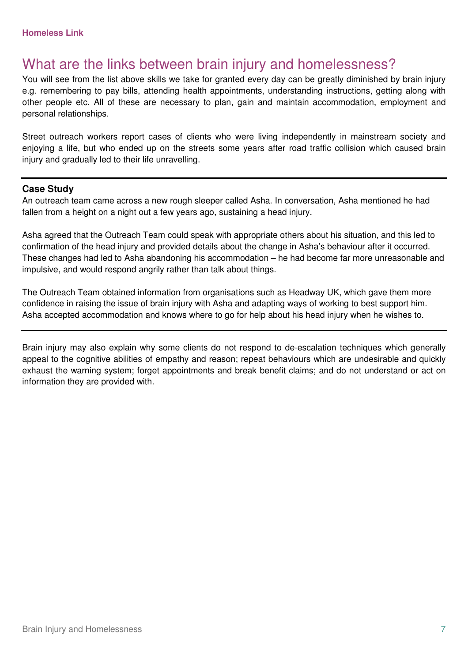## What are the links between brain injury and homelessness?

You will see from the list above skills we take for granted every day can be greatly diminished by brain injury e.g. remembering to pay bills, attending health appointments, understanding instructions, getting along with other people etc. All of these are necessary to plan, gain and maintain accommodation, employment and personal relationships.

Street outreach workers report cases of clients who were living independently in mainstream society and enjoying a life, but who ended up on the streets some years after road traffic collision which caused brain injury and gradually led to their life unravelling.

### **Case Study**

An outreach team came across a new rough sleeper called Asha. In conversation, Asha mentioned he had fallen from a height on a night out a few years ago, sustaining a head injury.

Asha agreed that the Outreach Team could speak with appropriate others about his situation, and this led to confirmation of the head injury and provided details about the change in Asha's behaviour after it occurred. These changes had led to Asha abandoning his accommodation – he had become far more unreasonable and impulsive, and would respond angrily rather than talk about things.

The Outreach Team obtained information from organisations such as Headway UK, which gave them more confidence in raising the issue of brain injury with Asha and adapting ways of working to best support him. Asha accepted accommodation and knows where to go for help about his head injury when he wishes to.

Brain injury may also explain why some clients do not respond to de-escalation techniques which generally appeal to the cognitive abilities of empathy and reason; repeat behaviours which are undesirable and quickly exhaust the warning system; forget appointments and break benefit claims; and do not understand or act on information they are provided with.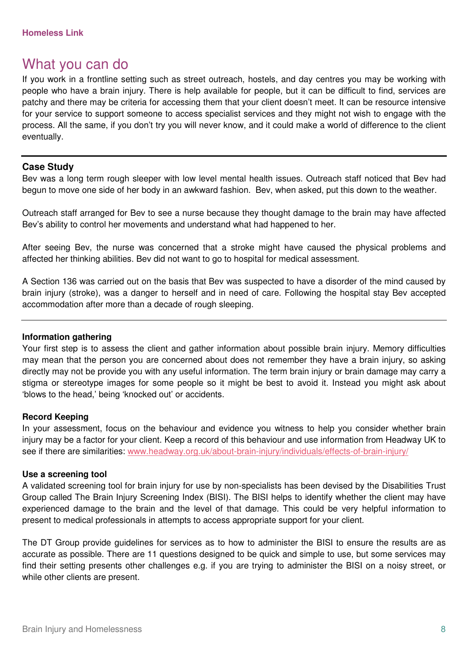### What you can do

If you work in a frontline setting such as street outreach, hostels, and day centres you may be working with people who have a brain injury. There is help available for people, but it can be difficult to find, services are patchy and there may be criteria for accessing them that your client doesn't meet. It can be resource intensive for your service to support someone to access specialist services and they might not wish to engage with the process. All the same, if you don't try you will never know, and it could make a world of difference to the client eventually.

### **Case Study**

Bev was a long term rough sleeper with low level mental health issues. Outreach staff noticed that Bev had begun to move one side of her body in an awkward fashion. Bev, when asked, put this down to the weather.

Outreach staff arranged for Bev to see a nurse because they thought damage to the brain may have affected Bev's ability to control her movements and understand what had happened to her.

After seeing Bev, the nurse was concerned that a stroke might have caused the physical problems and affected her thinking abilities. Bev did not want to go to hospital for medical assessment.

A Section 136 was carried out on the basis that Bev was suspected to have a disorder of the mind caused by brain injury (stroke), was a danger to herself and in need of care. Following the hospital stay Bev accepted accommodation after more than a decade of rough sleeping.

### **Information gathering**

Your first step is to assess the client and gather information about possible brain injury. Memory difficulties may mean that the person you are concerned about does not remember they have a brain injury, so asking directly may not be provide you with any useful information. The term brain injury or brain damage may carry a stigma or stereotype images for some people so it might be best to avoid it. Instead you might ask about 'blows to the head,' being 'knocked out' or accidents.

### **Record Keeping**

In your assessment, focus on the behaviour and evidence you witness to help you consider whether brain injury may be a factor for your client. Keep a record of this behaviour and use information from Headway UK to see if there are similarities: www.headway.org.uk/about-brain-injury/individuals/effects-of-brain-injury/

### **Use a screening tool**

A validated screening tool for brain injury for use by non-specialists has been devised by the Disabilities Trust Group called The Brain Injury Screening Index (BISI). The BISI helps to identify whether the client may have experienced damage to the brain and the level of that damage. This could be very helpful information to present to medical professionals in attempts to access appropriate support for your client.

The DT Group provide guidelines for services as to how to administer the BISI to ensure the results are as accurate as possible. There are 11 questions designed to be quick and simple to use, but some services may find their setting presents other challenges e.g. if you are trying to administer the BISI on a noisy street, or while other clients are present.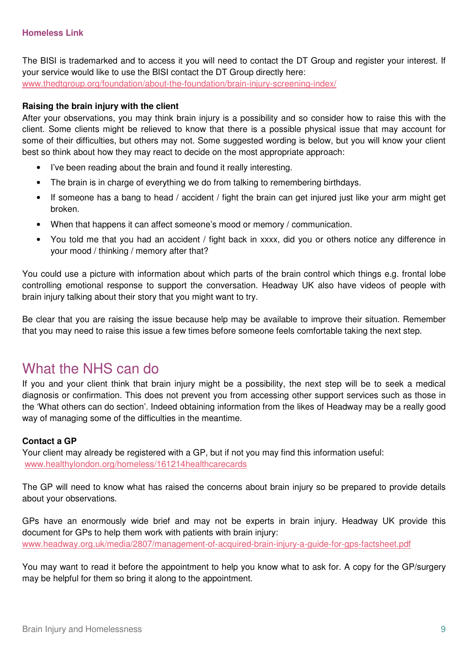The BISI is trademarked and to access it you will need to contact the DT Group and register your interest. If your service would like to use the BISI contact the DT Group directly here: www.thedtgroup.org/foundation/about-the-foundation/brain-injury-screening-index/

### **Raising the brain injury with the client**

After your observations, you may think brain injury is a possibility and so consider how to raise this with the client. Some clients might be relieved to know that there is a possible physical issue that may account for some of their difficulties, but others may not. Some suggested wording is below, but you will know your client best so think about how they may react to decide on the most appropriate approach:

- I've been reading about the brain and found it really interesting.
- The brain is in charge of everything we do from talking to remembering birthdays.
- If someone has a bang to head / accident / fight the brain can get injured just like your arm might get broken.
- When that happens it can affect someone's mood or memory / communication.
- You told me that you had an accident / fight back in xxxx, did you or others notice any difference in your mood / thinking / memory after that?

You could use a picture with information about which parts of the brain control which things e.g. frontal lobe controlling emotional response to support the conversation. Headway UK also have videos of people with brain injury talking about their story that you might want to try.

Be clear that you are raising the issue because help may be available to improve their situation. Remember that you may need to raise this issue a few times before someone feels comfortable taking the next step.

### What the NHS can do

If you and your client think that brain injury might be a possibility, the next step will be to seek a medical diagnosis or confirmation. This does not prevent you from accessing other support services such as those in the 'What others can do section'. Indeed obtaining information from the likes of Headway may be a really good way of managing some of the difficulties in the meantime.

### **Contact a GP**

Your client may already be registered with a GP, but if not you may find this information useful: www.healthylondon.org/homeless/161214healthcarecards

The GP will need to know what has raised the concerns about brain injury so be prepared to provide details about your observations.

GPs have an enormously wide brief and may not be experts in brain injury. Headway UK provide this document for GPs to help them work with patients with brain injury: www.headway.org.uk/media/2807/management-of-acquired-brain-injury-a-guide-for-gps-factsheet.pdf

You may want to read it before the appointment to help you know what to ask for. A copy for the GP/surgery may be helpful for them so bring it along to the appointment.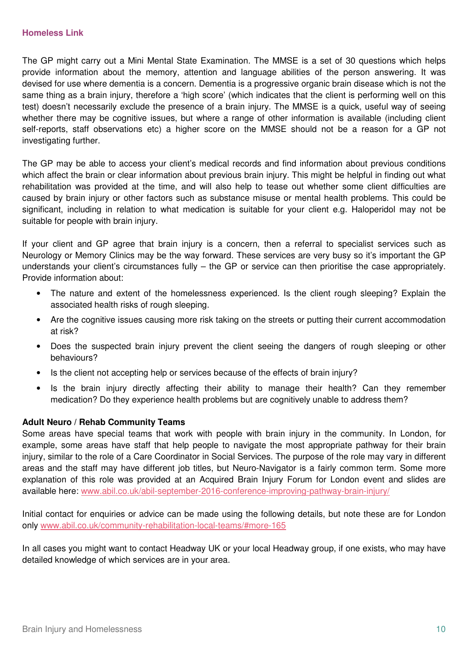The GP might carry out a Mini Mental State Examination. The MMSE is a set of 30 questions which helps provide information about the memory, attention and language abilities of the person answering. It was devised for use where dementia is a concern. Dementia is a progressive organic brain disease which is not the same thing as a brain injury, therefore a 'high score' (which indicates that the client is performing well on this test) doesn't necessarily exclude the presence of a brain injury. The MMSE is a quick, useful way of seeing whether there may be cognitive issues, but where a range of other information is available (including client self-reports, staff observations etc) a higher score on the MMSE should not be a reason for a GP not investigating further.

The GP may be able to access your client's medical records and find information about previous conditions which affect the brain or clear information about previous brain injury. This might be helpful in finding out what rehabilitation was provided at the time, and will also help to tease out whether some client difficulties are caused by brain injury or other factors such as substance misuse or mental health problems. This could be significant, including in relation to what medication is suitable for your client e.g. Haloperidol may not be suitable for people with brain injury.

If your client and GP agree that brain injury is a concern, then a referral to specialist services such as Neurology or Memory Clinics may be the way forward. These services are very busy so it's important the GP understands your client's circumstances fully – the GP or service can then prioritise the case appropriately. Provide information about:

- The nature and extent of the homelessness experienced. Is the client rough sleeping? Explain the associated health risks of rough sleeping.
- Are the cognitive issues causing more risk taking on the streets or putting their current accommodation at risk?
- Does the suspected brain injury prevent the client seeing the dangers of rough sleeping or other behaviours?
- Is the client not accepting help or services because of the effects of brain injury?
- Is the brain injury directly affecting their ability to manage their health? Can they remember medication? Do they experience health problems but are cognitively unable to address them?

### **Adult Neuro / Rehab Community Teams**

Some areas have special teams that work with people with brain injury in the community. In London, for example, some areas have staff that help people to navigate the most appropriate pathway for their brain injury, similar to the role of a Care Coordinator in Social Services. The purpose of the role may vary in different areas and the staff may have different job titles, but Neuro-Navigator is a fairly common term. Some more explanation of this role was provided at an Acquired Brain Injury Forum for London event and slides are available here: www.abil.co.uk/abil-september-2016-conference-improving-pathway-brain-injury/

Initial contact for enquiries or advice can be made using the following details, but note these are for London only www.abil.co.uk/community-rehabilitation-local-teams/#more-165

In all cases you might want to contact Headway UK or your local Headway group, if one exists, who may have detailed knowledge of which services are in your area.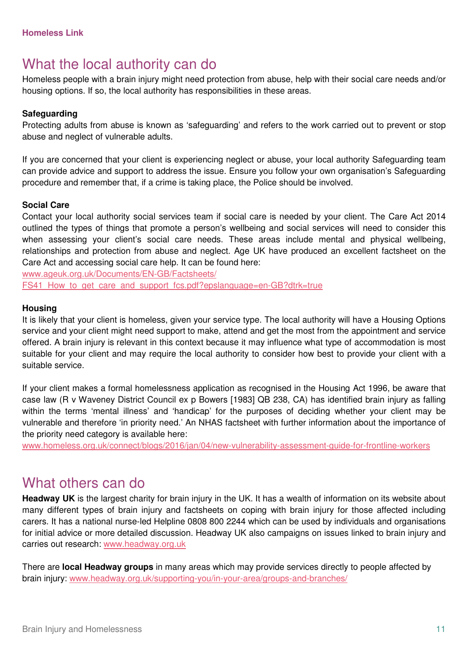## What the local authority can do

Homeless people with a brain injury might need protection from abuse, help with their social care needs and/or housing options. If so, the local authority has responsibilities in these areas.

### **Safeguarding**

Protecting adults from abuse is known as 'safeguarding' and refers to the work carried out to prevent or stop abuse and neglect of vulnerable adults.

If you are concerned that your client is experiencing neglect or abuse, your local authority Safeguarding team can provide advice and support to address the issue. Ensure you follow your own organisation's Safeguarding procedure and remember that, if a crime is taking place, the Police should be involved.

### **Social Care**

Contact your local authority social services team if social care is needed by your client. The Care Act 2014 outlined the types of things that promote a person's wellbeing and social services will need to consider this when assessing your client's social care needs. These areas include mental and physical wellbeing, relationships and protection from abuse and neglect. Age UK have produced an excellent factsheet on the Care Act and accessing social care help. It can be found here:

www.ageuk.org.uk/Documents/EN-GB/Factsheets/ FS41 How to get care and support fcs.pdf?epslanguage=en-GB?dtrk=true

#### **Housing**

It is likely that your client is homeless, given your service type. The local authority will have a Housing Options service and your client might need support to make, attend and get the most from the appointment and service offered. A brain injury is relevant in this context because it may influence what type of accommodation is most suitable for your client and may require the local authority to consider how best to provide your client with a suitable service.

If your client makes a formal homelessness application as recognised in the Housing Act 1996, be aware that case law (R v Waveney District Council ex p Bowers [1983] QB 238, CA) has identified brain injury as falling within the terms 'mental illness' and 'handicap' for the purposes of deciding whether your client may be vulnerable and therefore 'in priority need.' An NHAS factsheet with further information about the importance of the priority need category is available here:

www.homeless.org.uk/connect/blogs/2016/jan/04/new-vulnerability-assessment-guide-for-frontline-workers

### What others can do

**Headway UK** is the largest charity for brain injury in the UK. It has a wealth of information on its website about many different types of brain injury and factsheets on coping with brain injury for those affected including carers. It has a national nurse-led Helpline 0808 800 2244 which can be used by individuals and organisations for initial advice or more detailed discussion. Headway UK also campaigns on issues linked to brain injury and carries out research: www.headway.org.uk

There are **local Headway groups** in many areas which may provide services directly to people affected by brain injury: www.headway.org.uk/supporting-you/in-your-area/groups-and-branches/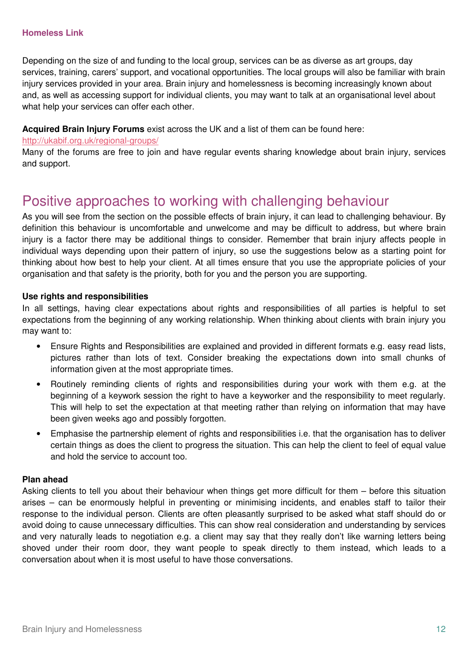#### **Homeless Link**

Depending on the size of and funding to the local group, services can be as diverse as art groups, day services, training, carers' support, and vocational opportunities. The local groups will also be familiar with brain injury services provided in your area. Brain injury and homelessness is becoming increasingly known about and, as well as accessing support for individual clients, you may want to talk at an organisational level about what help your services can offer each other.

### **Acquired Brain Injury Forums** exist across the UK and a list of them can be found here:

#### http://ukabif.org.uk/regional-groups/

Many of the forums are free to join and have regular events sharing knowledge about brain injury, services and support.

# Positive approaches to working with challenging behaviour

As you will see from the section on the possible effects of brain injury, it can lead to challenging behaviour. By definition this behaviour is uncomfortable and unwelcome and may be difficult to address, but where brain injury is a factor there may be additional things to consider. Remember that brain injury affects people in individual ways depending upon their pattern of injury, so use the suggestions below as a starting point for thinking about how best to help your client. At all times ensure that you use the appropriate policies of your organisation and that safety is the priority, both for you and the person you are supporting.

### **Use rights and responsibilities**

In all settings, having clear expectations about rights and responsibilities of all parties is helpful to set expectations from the beginning of any working relationship. When thinking about clients with brain injury you may want to:

- Ensure Rights and Responsibilities are explained and provided in different formats e.g. easy read lists, pictures rather than lots of text. Consider breaking the expectations down into small chunks of information given at the most appropriate times.
- Routinely reminding clients of rights and responsibilities during your work with them e.g. at the beginning of a keywork session the right to have a keyworker and the responsibility to meet regularly. This will help to set the expectation at that meeting rather than relying on information that may have been given weeks ago and possibly forgotten.
- Emphasise the partnership element of rights and responsibilities i.e. that the organisation has to deliver certain things as does the client to progress the situation. This can help the client to feel of equal value and hold the service to account too.

#### **Plan ahead**

Asking clients to tell you about their behaviour when things get more difficult for them – before this situation arises – can be enormously helpful in preventing or minimising incidents, and enables staff to tailor their response to the individual person. Clients are often pleasantly surprised to be asked what staff should do or avoid doing to cause unnecessary difficulties. This can show real consideration and understanding by services and very naturally leads to negotiation e.g. a client may say that they really don't like warning letters being shoved under their room door, they want people to speak directly to them instead, which leads to a conversation about when it is most useful to have those conversations.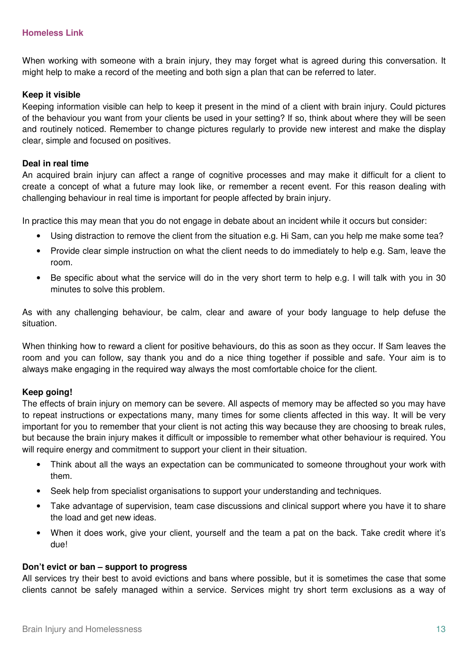When working with someone with a brain injury, they may forget what is agreed during this conversation. It might help to make a record of the meeting and both sign a plan that can be referred to later.

### **Keep it visible**

Keeping information visible can help to keep it present in the mind of a client with brain injury. Could pictures of the behaviour you want from your clients be used in your setting? If so, think about where they will be seen and routinely noticed. Remember to change pictures regularly to provide new interest and make the display clear, simple and focused on positives.

### **Deal in real time**

An acquired brain injury can affect a range of cognitive processes and may make it difficult for a client to create a concept of what a future may look like, or remember a recent event. For this reason dealing with challenging behaviour in real time is important for people affected by brain injury.

In practice this may mean that you do not engage in debate about an incident while it occurs but consider:

- Using distraction to remove the client from the situation e.g. Hi Sam, can you help me make some tea?
- Provide clear simple instruction on what the client needs to do immediately to help e.g. Sam, leave the room.
- Be specific about what the service will do in the very short term to help e.g. I will talk with you in 30 minutes to solve this problem.

As with any challenging behaviour, be calm, clear and aware of your body language to help defuse the situation.

When thinking how to reward a client for positive behaviours, do this as soon as they occur. If Sam leaves the room and you can follow, say thank you and do a nice thing together if possible and safe. Your aim is to always make engaging in the required way always the most comfortable choice for the client.

### **Keep going!**

The effects of brain injury on memory can be severe. All aspects of memory may be affected so you may have to repeat instructions or expectations many, many times for some clients affected in this way. It will be very important for you to remember that your client is not acting this way because they are choosing to break rules, but because the brain injury makes it difficult or impossible to remember what other behaviour is required. You will require energy and commitment to support your client in their situation.

- Think about all the ways an expectation can be communicated to someone throughout your work with them.
- Seek help from specialist organisations to support your understanding and techniques.
- Take advantage of supervision, team case discussions and clinical support where you have it to share the load and get new ideas.
- When it does work, give your client, yourself and the team a pat on the back. Take credit where it's due!

### **Don't evict or ban – support to progress**

All services try their best to avoid evictions and bans where possible, but it is sometimes the case that some clients cannot be safely managed within a service. Services might try short term exclusions as a way of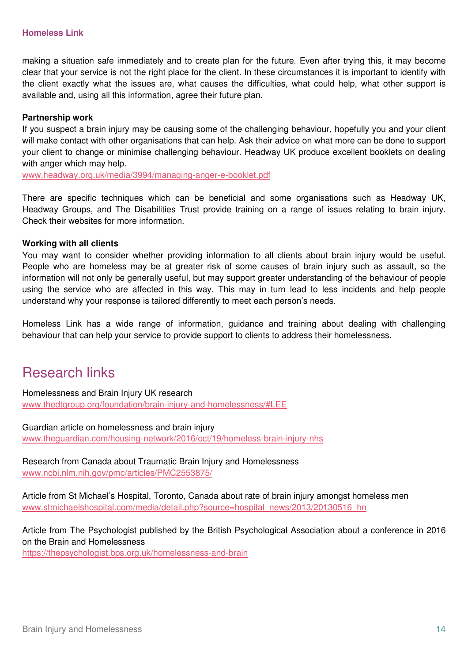making a situation safe immediately and to create plan for the future. Even after trying this, it may become clear that your service is not the right place for the client. In these circumstances it is important to identify with the client exactly what the issues are, what causes the difficulties, what could help, what other support is available and, using all this information, agree their future plan.

### **Partnership work**

If you suspect a brain injury may be causing some of the challenging behaviour, hopefully you and your client will make contact with other organisations that can help. Ask their advice on what more can be done to support your client to change or minimise challenging behaviour. Headway UK produce excellent booklets on dealing with anger which may help.

www.headway.org.uk/media/3994/managing-anger-e-booklet.pdf

There are specific techniques which can be beneficial and some organisations such as Headway UK, Headway Groups, and The Disabilities Trust provide training on a range of issues relating to brain injury. Check their websites for more information.

### **Working with all clients**

You may want to consider whether providing information to all clients about brain injury would be useful. People who are homeless may be at greater risk of some causes of brain injury such as assault, so the information will not only be generally useful, but may support greater understanding of the behaviour of people using the service who are affected in this way. This may in turn lead to less incidents and help people understand why your response is tailored differently to meet each person's needs.

Homeless Link has a wide range of information, guidance and training about dealing with challenging behaviour that can help your service to provide support to clients to address their homelessness.

### Research links

Homelessness and Brain Injury UK research www.thedtgroup.org/foundation/brain-injury-and-homelessness/#LEE

Guardian article on homelessness and brain injury www.theguardian.com/housing-network/2016/oct/19/homeless-brain-injury-nhs

Research from Canada about Traumatic Brain Injury and Homelessness www.ncbi.nlm.nih.gov/pmc/articles/PMC2553875/

Article from St Michael's Hospital, Toronto, Canada about rate of brain injury amongst homeless men www.stmichaelshospital.com/media/detail.php?source=hospital\_news/2013/20130516\_hn

Article from The Psychologist published by the British Psychological Association about a conference in 2016 on the Brain and Homelessness

https://thepsychologist.bps.org.uk/homelessness-and-brain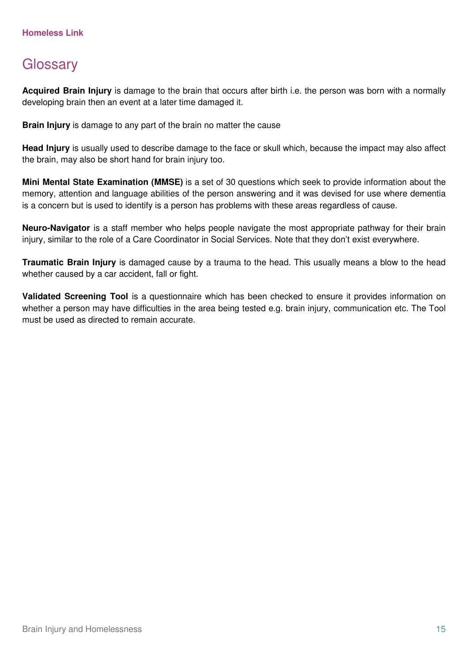# **Glossary**

**Acquired Brain Injury** is damage to the brain that occurs after birth i.e. the person was born with a normally developing brain then an event at a later time damaged it.

**Brain Injury** is damage to any part of the brain no matter the cause

**Head Injury** is usually used to describe damage to the face or skull which, because the impact may also affect the brain, may also be short hand for brain injury too.

**Mini Mental State Examination (MMSE)** is a set of 30 questions which seek to provide information about the memory, attention and language abilities of the person answering and it was devised for use where dementia is a concern but is used to identify is a person has problems with these areas regardless of cause.

**Neuro-Navigator** is a staff member who helps people navigate the most appropriate pathway for their brain injury, similar to the role of a Care Coordinator in Social Services. Note that they don't exist everywhere.

**Traumatic Brain Injury** is damaged cause by a trauma to the head. This usually means a blow to the head whether caused by a car accident, fall or fight.

**Validated Screening Tool** is a questionnaire which has been checked to ensure it provides information on whether a person may have difficulties in the area being tested e.g. brain injury, communication etc. The Tool must be used as directed to remain accurate.